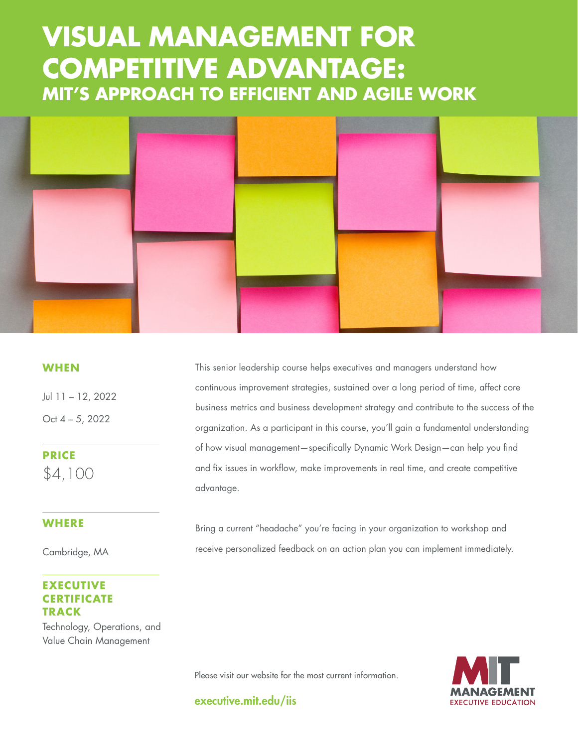# **COMPETITIVE ADVANTAGE: MIT'S APPROACH TO EFFICIENT AND AGILE WORK VISUAL MANAGEMENT FOR**



### **WHEN**

Jul 11 – 12, 2022 Oct 4 – 5, 2022

**PRICE** \$4,100

#### **WHERE**

Cambridge, MA

## **EXECUTIVE CERTIFICATE TRACK**

Technology, Operations, and Value Chain Management

This senior leadership course helps executives and managers understand how continuous improvement strategies, sustained over a long period of time, affect core business metrics and business development strategy and contribute to the success of the organization. As a participant in this course, you'll gain a fundamental understanding of how visual management—specifically Dynamic Work Design—can help you find and fix issues in workflow, make improvements in real time, and create competitive advantage.

Bring a current "headache" you're facing in your organization to workshop and receive personalized feedback on an action plan you can implement immediately.



Please visit our website for the most current information.

executive.mit.edu/iis